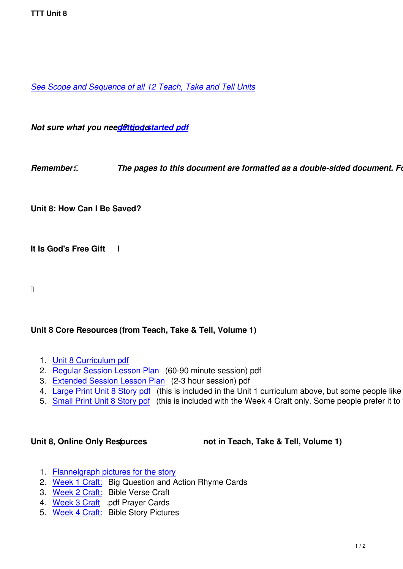*See Scope and Sequence of all 12 Teach, Take and Tell Units*

*Not sure what you need@ttjpgcstarted pdf* 

*Remember: <b><i>[The pages to this d](images/TTT/8 4 11 TTT/New TTT Website Documents/TTT Book portions/2nd GEtting Started.pdf)ocument are formatted as a double-sided document. Follo* 

**Unit 8: How Can I Be Saved?**

**It Is God's Free Gift !**

## **Unit 8 Core Resources (from Teach, Take & Tell, Volume 1)**

- 1. Unit 8 Curriculum pdf
- 2. Regular Session Lesson Plan (60-90 minute session) pdf
- 3. Extended Session Lesson Plan (2-3 hour session) pdf
- 4. [Large Print Unit 8 Sto](images/TTT/8 4 11 TTT/Unit 8/Unit 8/4th Unit 8 TTT Book Curr Portion.pdf)ry pdf (this is included in the Unit 1 curriculum above, but some people like to just
- 5. [Small Print Unit 8 Story pdf \(t](images/TTT/8 4 11 TTT/Unit 8/Unit 8/3rd LP 8R.pdf)his is included with the Week 4 Craft only. Some people prefer it to the

Unit 8, Online Only Resources **(1)** not in Teach, Take & Tell, Volume 1)

- 1. Flannelgraph pictures for the story
- 2. Week 1 Craft: Big Question and Action Rhyme Cards
- 3. Week 2 Craft: Bible Verse Craft
- 4. [Week 3 Craft .pdf Prayer Cards](images/TTT/8 4 11 TTT/Unit 8/Unit 8/Pics 8.pdf)
- 5. [Week 4 Craft:](images/TTT/8 4 11 TTT/Unit 8/Unit 8/Week 1 Craft.pdf) Bible Story Pictures